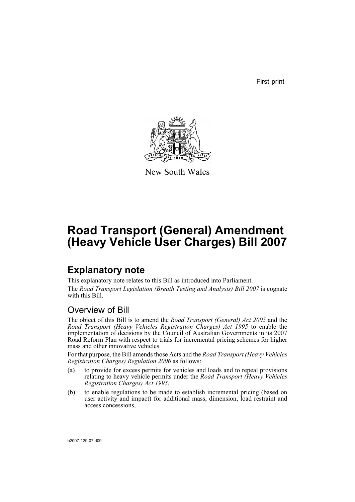First print



New South Wales

# **Road Transport (General) Amendment (Heavy Vehicle User Charges) Bill 2007**

## **Explanatory note**

This explanatory note relates to this Bill as introduced into Parliament. The *Road Transport Legislation (Breath Testing and Analysis) Bill 2007* is cognate with this Bill.

## Overview of Bill

The object of this Bill is to amend the *Road Transport (General) Act 2005* and the *Road Transport (Heavy Vehicles Registration Charges) Act 1995* to enable the implementation of decisions by the Council of Australian Governments in its 2007 Road Reform Plan with respect to trials for incremental pricing schemes for higher mass and other innovative vehicles.

For that purpose, the Bill amends those Acts and the *Road Transport (Heavy Vehicles Registration Charges) Regulation 2006* as follows:

- (a) to provide for excess permits for vehicles and loads and to repeal provisions relating to heavy vehicle permits under the *Road Transport (Heavy Vehicles Registration Charges) Act 1995*,
- (b) to enable regulations to be made to establish incremental pricing (based on user activity and impact) for additional mass, dimension, load restraint and access concessions,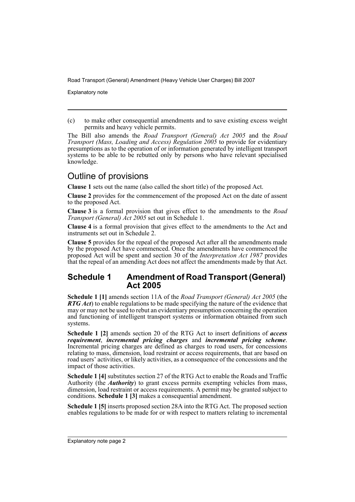Explanatory note

(c) to make other consequential amendments and to save existing excess weight permits and heavy vehicle permits.

The Bill also amends the *Road Transport (General) Act 2005* and the *Road Transport (Mass, Loading and Access) Regulation 2005* to provide for evidentiary presumptions as to the operation of or information generated by intelligent transport systems to be able to be rebutted only by persons who have relevant specialised knowledge.

## Outline of provisions

**Clause 1** sets out the name (also called the short title) of the proposed Act.

**Clause 2** provides for the commencement of the proposed Act on the date of assent to the proposed Act.

**Clause 3** is a formal provision that gives effect to the amendments to the *Road Transport (General) Act 2005* set out in Schedule 1.

**Clause 4** is a formal provision that gives effect to the amendments to the Act and instruments set out in Schedule 2.

**Clause 5** provides for the repeal of the proposed Act after all the amendments made by the proposed Act have commenced. Once the amendments have commenced the proposed Act will be spent and section 30 of the *Interpretation Act 1987* provides that the repeal of an amending Act does not affect the amendments made by that Act.

#### **Schedule 1 Amendment of Road Transport (General) Act 2005**

**Schedule 1 [1]** amends section 11A of the *Road Transport (General) Act 2005* (the *RTG Act*) to enable regulations to be made specifying the nature of the evidence that may or may not be used to rebut an evidentiary presumption concerning the operation and functioning of intelligent transport systems or information obtained from such systems.

**Schedule 1 [2]** amends section 20 of the RTG Act to insert definitions of *access requirement*, *incremental pricing charges* and *incremental pricing scheme*. Incremental pricing charges are defined as charges to road users, for concessions relating to mass, dimension, load restraint or access requirements, that are based on road users' activities, or likely activities, as a consequence of the concessions and the impact of those activities.

**Schedule 1 [4]** substitutes section 27 of the RTG Act to enable the Roads and Traffic Authority (the *Authority*) to grant excess permits exempting vehicles from mass, dimension, load restraint or access requirements. A permit may be granted subject to conditions. **Schedule 1 [3]** makes a consequential amendment.

**Schedule 1 [5]** inserts proposed section 28A into the RTG Act. The proposed section enables regulations to be made for or with respect to matters relating to incremental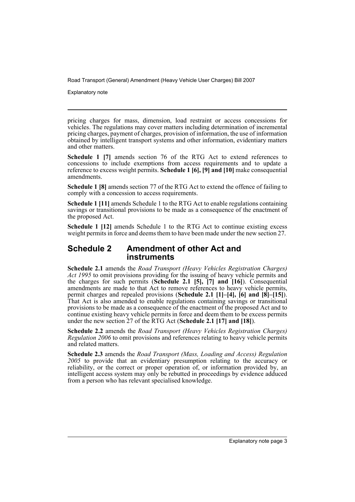Explanatory note

pricing charges for mass, dimension, load restraint or access concessions for vehicles. The regulations may cover matters including determination of incremental pricing charges, payment of charges, provision of information, the use of information obtained by intelligent transport systems and other information, evidentiary matters and other matters.

**Schedule 1 [7]** amends section 76 of the RTG Act to extend references to concessions to include exemptions from access requirements and to update a reference to excess weight permits. **Schedule 1 [6], [9] and [10]** make consequential amendments.

**Schedule 1 [8]** amends section 77 of the RTG Act to extend the offence of failing to comply with a concession to access requirements.

**Schedule 1 [11]** amends Schedule 1 to the RTG Act to enable regulations containing savings or transitional provisions to be made as a consequence of the enactment of the proposed Act.

**Schedule 1 [12]** amends Schedule 1 to the RTG Act to continue existing excess weight permits in force and deems them to have been made under the new section 27.

#### **Schedule 2 Amendment of other Act and instruments**

**Schedule 2.1** amends the *Road Transport (Heavy Vehicles Registration Charges) Act 1995* to omit provisions providing for the issuing of heavy vehicle permits and the charges for such permits (**Schedule 2.1 [5], [7] and [16]**). Consequential amendments are made to that Act to remove references to heavy vehicle permits, permit charges and repealed provisions (**Schedule 2.1 [1]–[4], [6] and [8]–[15]**). That Act is also amended to enable regulations containing savings or transitional provisions to be made as a consequence of the enactment of the proposed Act and to continue existing heavy vehicle permits in force and deem them to be excess permits under the new section 27 of the RTG Act (**Schedule 2.1 [17] and [18]**).

**Schedule 2.2** amends the *Road Transport (Heavy Vehicles Registration Charges) Regulation 2006* to omit provisions and references relating to heavy vehicle permits and related matters.

**Schedule 2.3** amends the *Road Transport (Mass, Loading and Access) Regulation 2005* to provide that an evidentiary presumption relating to the accuracy or reliability, or the correct or proper operation of, or information provided by, an intelligent access system may only be rebutted in proceedings by evidence adduced from a person who has relevant specialised knowledge.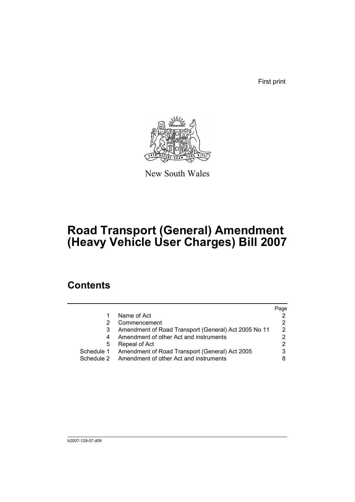First print



New South Wales

# **Road Transport (General) Amendment (Heavy Vehicle User Charges) Bill 2007**

## **Contents**

|            |                                                      | Page |
|------------|------------------------------------------------------|------|
|            | Name of Act                                          |      |
|            | Commencement                                         |      |
|            | Amendment of Road Transport (General) Act 2005 No 11 | 2    |
|            | Amendment of other Act and instruments               |      |
| 5          | Repeal of Act                                        |      |
| Schedule 1 | Amendment of Road Transport (General) Act 2005       |      |
| Schedule 2 | Amendment of other Act and instruments               |      |
|            |                                                      |      |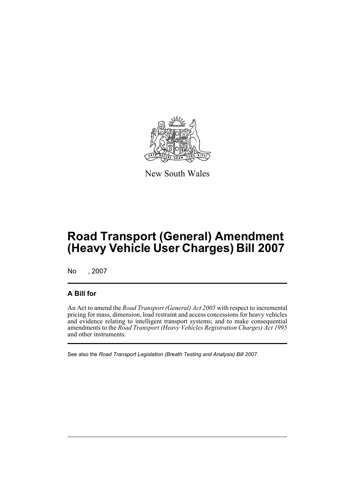

New South Wales

# **Road Transport (General) Amendment (Heavy Vehicle User Charges) Bill 2007**

No , 2007

### **A Bill for**

An Act to amend the *Road Transport (General) Act 2005* with respect to incremental pricing for mass, dimension, load restraint and access concessions for heavy vehicles and evidence relating to intelligent transport systems; and to make consequential amendments to the *Road Transport (Heavy Vehicles Registration Charges) Act 1995* and other instruments.

See also the *Road Transport Legislation (Breath Testing and Analysis) Bill 2007*.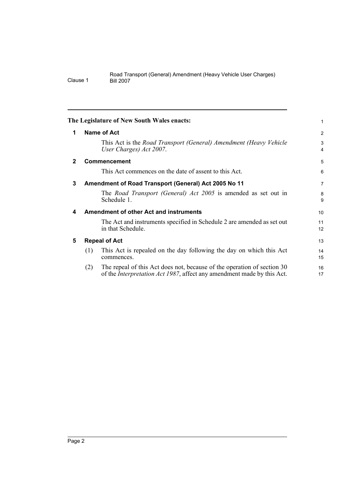<span id="page-7-4"></span><span id="page-7-3"></span><span id="page-7-2"></span><span id="page-7-1"></span><span id="page-7-0"></span>

|              |     | The Legislature of New South Wales enacts:                                                                                                                | 1              |
|--------------|-----|-----------------------------------------------------------------------------------------------------------------------------------------------------------|----------------|
| 1            |     | <b>Name of Act</b>                                                                                                                                        | 2              |
|              |     | This Act is the Road Transport (General) Amendment (Heavy Vehicle<br>User Charges) Act 2007.                                                              | 3<br>4         |
| $\mathbf{2}$ |     | Commencement                                                                                                                                              | 5              |
|              |     | This Act commences on the date of assent to this Act.                                                                                                     | 6              |
| 3            |     | Amendment of Road Transport (General) Act 2005 No 11                                                                                                      | $\overline{7}$ |
|              |     | The <i>Road Transport (General) Act 2005</i> is amended as set out in<br>Schedule 1.                                                                      | 8<br>9         |
| 4            |     | <b>Amendment of other Act and instruments</b>                                                                                                             | 10             |
|              |     | The Act and instruments specified in Schedule 2 are amended as set out<br>in that Schedule.                                                               | 11<br>12       |
| 5            |     | <b>Repeal of Act</b>                                                                                                                                      | 13             |
|              | (1) | This Act is repealed on the day following the day on which this Act<br>commences.                                                                         | 14<br>15       |
|              | (2) | The repeal of this Act does not, because of the operation of section 30<br>of the <i>Interpretation Act 1987</i> , affect any amendment made by this Act. | 16<br>17       |
|              |     |                                                                                                                                                           |                |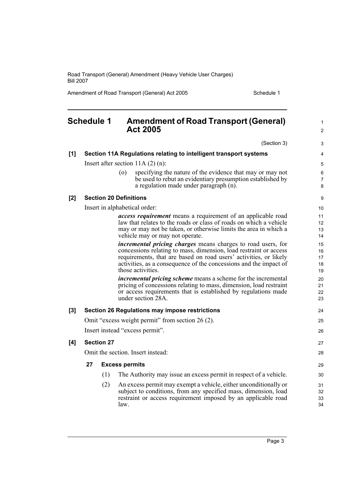Amendment of Road Transport (General) Act 2005 Schedule 1

#### <span id="page-8-0"></span>**Schedule 1 Amendment of Road Transport (General) Act 2005** (Section 3) **[1] Section 11A Regulations relating to intelligent transport systems** Insert after section 11A (2) (n): (o) specifying the nature of the evidence that may or may not be used to rebut an evidentiary presumption established by a regulation made under paragraph (n). **[2] Section 20 Definitions** Insert in alphabetical order: *access requirement* means a requirement of an applicable road law that relates to the roads or class of roads on which a vehicle may or may not be taken, or otherwise limits the area in which a vehicle may or may not operate. *incremental pricing charges* means charges to road users, for concessions relating to mass, dimension, load restraint or access requirements, that are based on road users' activities, or likely activities, as a consequence of the concessions and the impact of those activities. *incremental pricing scheme* means a scheme for the incremental pricing of concessions relating to mass, dimension, load restraint or access requirements that is established by regulations made under section 28A. **[3] Section 26 Regulations may impose restrictions** Omit "excess weight permit" from section 26 (2). Insert instead "excess permit". **[4] Section 27** Omit the section. Insert instead: **27 Excess permits** (1) The Authority may issue an excess permit in respect of a vehicle. (2) An excess permit may exempt a vehicle, either unconditionally or subject to conditions, from any specified mass, dimension, load restraint or access requirement imposed by an applicable road law. 1  $\mathfrak{p}$ 3 4 5 6 7 8 9 10 11 12 13 14 15 16 17 18 19 20 21  $22$ 23 24 25 26 27 28 29 30 31 32 33 34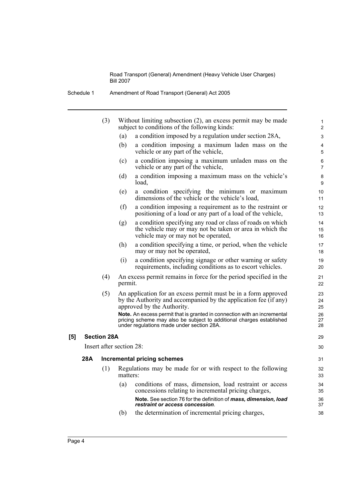| Amendment of Road Transport (General) Act 2005<br>Schedule 1 |  |
|--------------------------------------------------------------|--|
|--------------------------------------------------------------|--|

|     |     | (3)                      |          | Without limiting subsection (2), an excess permit may be made<br>subject to conditions of the following kinds:                                                                                | $\mathbf{1}$<br>$\overline{2}$ |
|-----|-----|--------------------------|----------|-----------------------------------------------------------------------------------------------------------------------------------------------------------------------------------------------|--------------------------------|
|     |     |                          | (a)      | a condition imposed by a regulation under section 28A,                                                                                                                                        | 3                              |
|     |     |                          | (b)      | a condition imposing a maximum laden mass on the<br>vehicle or any part of the vehicle,                                                                                                       | 4<br>5                         |
|     |     |                          | (c)      | a condition imposing a maximum unladen mass on the<br>vehicle or any part of the vehicle,                                                                                                     | 6<br>$\overline{7}$            |
|     |     |                          | (d)      | a condition imposing a maximum mass on the vehicle's<br>load,                                                                                                                                 | 8<br>9                         |
|     |     |                          | (e)      | a condition specifying the minimum or maximum<br>dimensions of the vehicle or the vehicle's load,                                                                                             | 10<br>11                       |
|     |     |                          | (f)      | a condition imposing a requirement as to the restraint or<br>positioning of a load or any part of a load of the vehicle,                                                                      | 12<br>13                       |
|     |     |                          | (g)      | a condition specifying any road or class of roads on which<br>the vehicle may or may not be taken or area in which the<br>vehicle may or may not be operated,                                 | 14<br>15<br>16                 |
|     |     |                          | (h)      | a condition specifying a time, or period, when the vehicle<br>may or may not be operated,                                                                                                     | 17<br>18                       |
|     |     |                          | (i)      | a condition specifying signage or other warning or safety<br>requirements, including conditions as to escort vehicles.                                                                        | 19<br>20                       |
|     |     | (4)                      | permit.  | An excess permit remains in force for the period specified in the                                                                                                                             | 21<br>22                       |
|     |     | (5)                      |          | An application for an excess permit must be in a form approved<br>by the Authority and accompanied by the application fee (if any)<br>approved by the Authority.                              | 23<br>24<br>25                 |
|     |     |                          |          | Note. An excess permit that is granted in connection with an incremental<br>pricing scheme may also be subject to additional charges established<br>under regulations made under section 28A. | 26<br>27<br>28                 |
| [5] |     | <b>Section 28A</b>       |          |                                                                                                                                                                                               | 29                             |
|     |     | Insert after section 28: |          |                                                                                                                                                                                               | 30                             |
|     | 28A |                          |          | <b>Incremental pricing schemes</b>                                                                                                                                                            | 31                             |
|     |     | (1)                      | matters: | Regulations may be made for or with respect to the following                                                                                                                                  | 32<br>33                       |
|     |     |                          | (a)      | conditions of mass, dimension, load restraint or access<br>concessions relating to incremental pricing charges,                                                                               | 34<br>35                       |
|     |     |                          |          | Note. See section 76 for the definition of mass, dimension, load<br>restraint or access concession.                                                                                           | 36<br>37                       |
|     |     |                          | (b)      | the determination of incremental pricing charges,                                                                                                                                             | 38                             |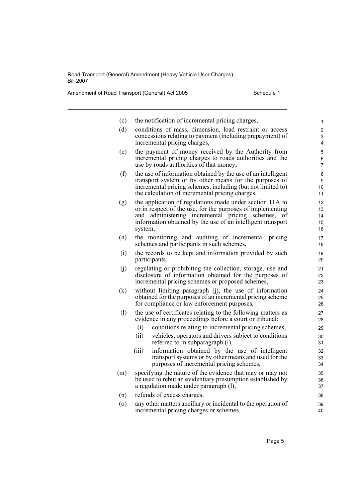Amendment of Road Transport (General) Act 2005 Schedule 1

| (c)     | the notification of incremental pricing charges,                                                                                                                                                                                                         | 1                          |
|---------|----------------------------------------------------------------------------------------------------------------------------------------------------------------------------------------------------------------------------------------------------------|----------------------------|
| (d)     | conditions of mass, dimension, load restraint or access<br>concessions relating to payment (including prepayment) of<br>incremental pricing charges,                                                                                                     | $\overline{c}$<br>3<br>4   |
| (e)     | the payment of money received by the Authority from<br>incremental pricing charges to roads authorities and the<br>use by roads authorities of that money,                                                                                               | 5<br>6<br>$\overline{7}$   |
| (f)     | the use of information obtained by the use of an intelligent<br>transport system or by other means for the purposes of<br>incremental pricing schemes, including (but not limited to)<br>the calculation of incremental pricing charges,                 | 8<br>9<br>10<br>11         |
| (g)     | the application of regulations made under section 11A to<br>or in respect of the use, for the purposes of implementing<br>and administering incremental pricing schemes,<br>οt<br>information obtained by the use of an intelligent transport<br>system, | 12<br>13<br>14<br>15<br>16 |
| (h)     | the monitoring and auditing of incremental pricing<br>schemes and participants in such schemes,                                                                                                                                                          | 17<br>18                   |
| (i)     | the records to be kept and information provided by such<br>participants,                                                                                                                                                                                 | 19<br>20                   |
| (j)     | regulating or prohibiting the collection, storage, use and<br>disclosure of information obtained for the purposes of<br>incremental pricing schemes or proposed schemes,                                                                                 | 21<br>22<br>23             |
| (k)     | without limiting paragraph (j), the use of information<br>obtained for the purposes of an incremental pricing scheme<br>for compliance or law enforcement purposes,                                                                                      | 24<br>25<br>26             |
| (1)     | the use of certificates relating to the following matters as<br>evidence in any proceedings before a court or tribunal:                                                                                                                                  | 27<br>28                   |
|         | (i)<br>conditions relating to incremental pricing schemes,                                                                                                                                                                                               | 29                         |
|         | vehicles, operators and drivers subject to conditions<br>(ii)<br>referred to in subparagraph (i),                                                                                                                                                        | 30<br>31                   |
|         | information obtained by the use of intelligent<br>(iii)<br>transport systems or by other means and used for the<br>purposes of incremental pricing schemes,                                                                                              | 32<br>33<br>34             |
| (m)     | specifying the nature of the evidence that may or may not<br>be used to rebut an evidentiary presumption established by<br>a regulation made under paragraph (1),                                                                                        | 35<br>36<br>37             |
| (n)     | refunds of excess charges,                                                                                                                                                                                                                               | 38                         |
| $\circ$ | any other matters ancillary or incidental to the operation of<br>incremental pricing charges or schemes.                                                                                                                                                 | 39<br>40                   |
|         |                                                                                                                                                                                                                                                          |                            |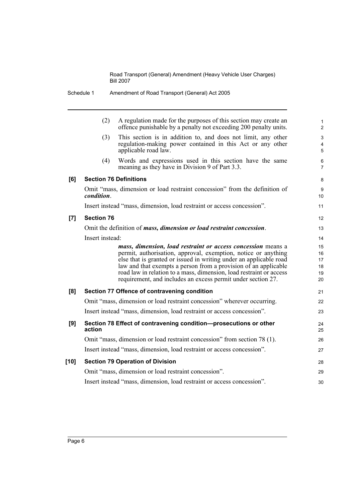|        | (2)                           | A regulation made for the purposes of this section may create an<br>offence punishable by a penalty not exceeding 200 penalty units.                                                                                                                                                                                                                                                                           | $\mathbf{1}$<br>$\overline{2}$   |
|--------|-------------------------------|----------------------------------------------------------------------------------------------------------------------------------------------------------------------------------------------------------------------------------------------------------------------------------------------------------------------------------------------------------------------------------------------------------------|----------------------------------|
|        | (3)                           | This section is in addition to, and does not limit, any other<br>regulation-making power contained in this Act or any other<br>applicable road law.                                                                                                                                                                                                                                                            | 3<br>4<br>5                      |
|        | (4)                           | Words and expressions used in this section have the same<br>meaning as they have in Division 9 of Part 3.3.                                                                                                                                                                                                                                                                                                    | $\,6\,$<br>$\overline{7}$        |
| [6]    | <b>Section 76 Definitions</b> |                                                                                                                                                                                                                                                                                                                                                                                                                | 8                                |
|        | condition.                    | Omit "mass, dimension or load restraint concession" from the definition of                                                                                                                                                                                                                                                                                                                                     | 9<br>10                          |
|        |                               | Insert instead "mass, dimension, load restraint or access concession".                                                                                                                                                                                                                                                                                                                                         | 11                               |
| [7]    | <b>Section 76</b>             |                                                                                                                                                                                                                                                                                                                                                                                                                | 12                               |
|        |                               | Omit the definition of <i>mass</i> , <i>dimension or load restraint concession</i> .                                                                                                                                                                                                                                                                                                                           | 13                               |
|        | Insert instead:               |                                                                                                                                                                                                                                                                                                                                                                                                                | 14                               |
|        |                               | mass, dimension, load restraint or access concession means a<br>permit, authorisation, approval, exemption, notice or anything<br>else that is granted or issued in writing under an applicable road<br>law and that exempts a person from a provision of an applicable<br>road law in relation to a mass, dimension, load restraint or access<br>requirement, and includes an excess permit under section 27. | 15<br>16<br>17<br>18<br>19<br>20 |
| [8]    |                               | Section 77 Offence of contravening condition                                                                                                                                                                                                                                                                                                                                                                   | 21                               |
|        |                               | Omit "mass, dimension or load restraint concession" wherever occurring.                                                                                                                                                                                                                                                                                                                                        | 22                               |
|        |                               | Insert instead "mass, dimension, load restraint or access concession".                                                                                                                                                                                                                                                                                                                                         | 23                               |
| [9]    | action                        | Section 78 Effect of contravening condition-prosecutions or other                                                                                                                                                                                                                                                                                                                                              | 24<br>25                         |
|        |                               | Omit "mass, dimension or load restraint concession" from section 78 (1).                                                                                                                                                                                                                                                                                                                                       | 26                               |
|        |                               | Insert instead "mass, dimension, load restraint or access concession".                                                                                                                                                                                                                                                                                                                                         | 27                               |
| $[10]$ |                               | <b>Section 79 Operation of Division</b>                                                                                                                                                                                                                                                                                                                                                                        | 28                               |
|        |                               | Omit "mass, dimension or load restraint concession".                                                                                                                                                                                                                                                                                                                                                           | 29                               |
|        |                               | Insert instead "mass, dimension, load restraint or access concession".                                                                                                                                                                                                                                                                                                                                         | 30                               |

Schedule 1 Amendment of Road Transport (General) Act 2005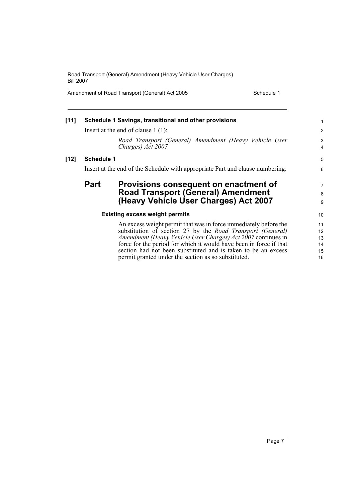Amendment of Road Transport (General) Act 2005 Schedule 1

| $[11]$ |                   | Schedule 1 Savings, transitional and other provisions                                                                                                                                                                                                                                                                                                                                               | 1                                |
|--------|-------------------|-----------------------------------------------------------------------------------------------------------------------------------------------------------------------------------------------------------------------------------------------------------------------------------------------------------------------------------------------------------------------------------------------------|----------------------------------|
|        |                   | Insert at the end of clause $1(1)$ :                                                                                                                                                                                                                                                                                                                                                                | $\overline{c}$                   |
|        |                   | Road Transport (General) Amendment (Heavy Vehicle User<br>Charges) Act 2007                                                                                                                                                                                                                                                                                                                         | 3<br>4                           |
| $[12]$ | <b>Schedule 1</b> |                                                                                                                                                                                                                                                                                                                                                                                                     | 5                                |
|        |                   | Insert at the end of the Schedule with appropriate Part and clause numbering:                                                                                                                                                                                                                                                                                                                       | 6                                |
|        | <b>Part</b>       | Provisions consequent on enactment of<br><b>Road Transport (General) Amendment</b><br>(Heavy Vehicle User Charges) Act 2007                                                                                                                                                                                                                                                                         | 7<br>8<br>9                      |
|        |                   | <b>Existing excess weight permits</b>                                                                                                                                                                                                                                                                                                                                                               | 10                               |
|        |                   | An excess weight permit that was in force immediately before the<br>substitution of section 27 by the <i>Road Transport (General)</i><br>Amendment (Heavy Vehicle User Charges) Act 2007 continues in<br>force for the period for which it would have been in force if that<br>section had not been substituted and is taken to be an excess<br>permit granted under the section as so substituted. | 11<br>12<br>13<br>14<br>15<br>16 |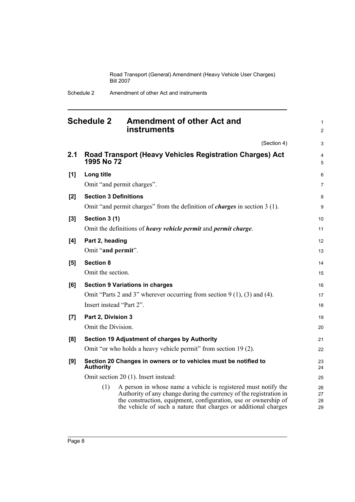Schedule 2 Amendment of other Act and instruments

<span id="page-13-0"></span>

|     | <b>Schedule 2</b><br><b>Amendment of other Act and</b><br><b>instruments</b>                                                                                                                                                                                                      | $\mathbf{1}$<br>$\overline{2}$ |
|-----|-----------------------------------------------------------------------------------------------------------------------------------------------------------------------------------------------------------------------------------------------------------------------------------|--------------------------------|
|     | (Section 4)                                                                                                                                                                                                                                                                       | 3                              |
| 2.1 | Road Transport (Heavy Vehicles Registration Charges) Act<br>1995 No 72                                                                                                                                                                                                            | $\overline{4}$<br>5            |
| [1] | Long title                                                                                                                                                                                                                                                                        | 6                              |
|     | Omit "and permit charges".                                                                                                                                                                                                                                                        | $\overline{7}$                 |
| [2] | <b>Section 3 Definitions</b>                                                                                                                                                                                                                                                      | 8                              |
|     | Omit "and permit charges" from the definition of <i>charges</i> in section 3 (1).                                                                                                                                                                                                 | 9                              |
| [3] | Section 3 (1)                                                                                                                                                                                                                                                                     | 10                             |
|     | Omit the definitions of <i>heavy vehicle permit</i> and <i>permit charge</i> .                                                                                                                                                                                                    | 11                             |
| [4] | Part 2, heading                                                                                                                                                                                                                                                                   | 12                             |
|     | Omit "and permit".                                                                                                                                                                                                                                                                | 13                             |
| [5] | <b>Section 8</b>                                                                                                                                                                                                                                                                  | 14                             |
|     | Omit the section.                                                                                                                                                                                                                                                                 | 15                             |
| [6] | <b>Section 9 Variations in charges</b>                                                                                                                                                                                                                                            | 16                             |
|     | Omit "Parts 2 and 3" wherever occurring from section $9(1)$ , (3) and (4).                                                                                                                                                                                                        | 17                             |
|     | Insert instead "Part 2".                                                                                                                                                                                                                                                          | 18                             |
| [7] | Part 2, Division 3                                                                                                                                                                                                                                                                | 19                             |
|     | Omit the Division.                                                                                                                                                                                                                                                                | 20                             |
| [8] | Section 19 Adjustment of charges by Authority                                                                                                                                                                                                                                     | 21                             |
|     | Omit "or who holds a heavy vehicle permit" from section 19(2).                                                                                                                                                                                                                    | 22                             |
| [9] | Section 20 Changes in owners or to vehicles must be notified to<br><b>Authority</b>                                                                                                                                                                                               | 23<br>24                       |
|     | Omit section 20 (1). Insert instead:                                                                                                                                                                                                                                              | 25                             |
|     | A person in whose name a vehicle is registered must notify the<br>(1)<br>Authority of any change during the currency of the registration in<br>the construction, equipment, configuration, use or ownership of<br>the vehicle of such a nature that charges or additional charges | 26<br>27<br>28<br>29           |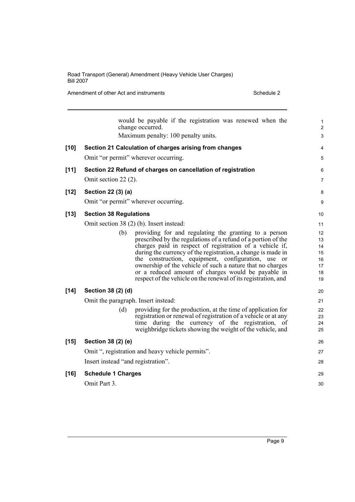Amendment of other Act and instruments Schedule 2

|        |                                     | would be payable if the registration was renewed when the<br>change occurred.                                                                                                                                                                                                                                                                                                                                                                                                                 | 1<br>$\overline{\mathbf{c}}$                 |
|--------|-------------------------------------|-----------------------------------------------------------------------------------------------------------------------------------------------------------------------------------------------------------------------------------------------------------------------------------------------------------------------------------------------------------------------------------------------------------------------------------------------------------------------------------------------|----------------------------------------------|
|        |                                     | Maximum penalty: 100 penalty units.                                                                                                                                                                                                                                                                                                                                                                                                                                                           | 3                                            |
| $[10]$ |                                     | Section 21 Calculation of charges arising from changes                                                                                                                                                                                                                                                                                                                                                                                                                                        | 4                                            |
|        |                                     | Omit "or permit" wherever occurring.                                                                                                                                                                                                                                                                                                                                                                                                                                                          | 5                                            |
| $[11]$ |                                     | Section 22 Refund of charges on cancellation of registration                                                                                                                                                                                                                                                                                                                                                                                                                                  | 6                                            |
|        | Omit section 22 (2).                |                                                                                                                                                                                                                                                                                                                                                                                                                                                                                               | 7                                            |
| $[12]$ | Section 22 (3) (a)                  |                                                                                                                                                                                                                                                                                                                                                                                                                                                                                               | 8                                            |
|        |                                     | Omit "or permit" wherever occurring.                                                                                                                                                                                                                                                                                                                                                                                                                                                          | 9                                            |
| $[13]$ | <b>Section 38 Regulations</b>       |                                                                                                                                                                                                                                                                                                                                                                                                                                                                                               | 10                                           |
|        |                                     | Omit section 38 (2) (b). Insert instead:                                                                                                                                                                                                                                                                                                                                                                                                                                                      | 11                                           |
|        | (b)                                 | providing for and regulating the granting to a person<br>prescribed by the regulations of a refund of a portion of the<br>charges paid in respect of registration of a vehicle if,<br>during the currency of the registration, a change is made in<br>the construction, equipment, configuration, use or<br>ownership of the vehicle of such a nature that no charges<br>or a reduced amount of charges would be payable in<br>respect of the vehicle on the renewal of its registration, and | 12<br>13<br>14<br>15<br>16<br>17<br>18<br>19 |
| $[14]$ | Section 38 (2) (d)                  |                                                                                                                                                                                                                                                                                                                                                                                                                                                                                               | 20                                           |
|        | Omit the paragraph. Insert instead: |                                                                                                                                                                                                                                                                                                                                                                                                                                                                                               | 21                                           |
|        | (d)                                 | providing for the production, at the time of application for<br>registration or renewal of registration of a vehicle or at any<br>time during the currency of the registration, of<br>weighbridge tickets showing the weight of the vehicle, and                                                                                                                                                                                                                                              | 22<br>23<br>24<br>25                         |
| $[15]$ | Section 38 (2) (e)                  |                                                                                                                                                                                                                                                                                                                                                                                                                                                                                               | 26                                           |
|        |                                     | Omit ", registration and heavy vehicle permits".                                                                                                                                                                                                                                                                                                                                                                                                                                              | 27                                           |
|        | Insert instead "and registration".  |                                                                                                                                                                                                                                                                                                                                                                                                                                                                                               | 28                                           |
| $[16]$ | <b>Schedule 1 Charges</b>           |                                                                                                                                                                                                                                                                                                                                                                                                                                                                                               | 29                                           |
|        | Omit Part 3.                        |                                                                                                                                                                                                                                                                                                                                                                                                                                                                                               | 30                                           |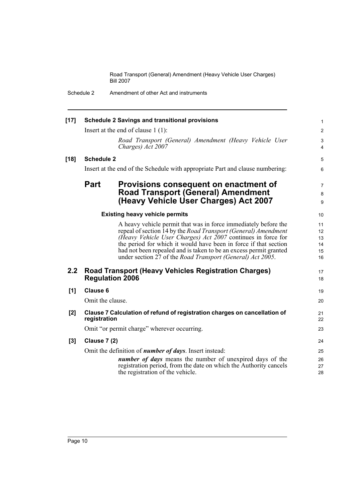| $[17]$ |                     | <b>Schedule 2 Savings and transitional provisions</b>                                                                                                                                                                                                                                                                                                                                                           | $\mathbf{1}$                     |
|--------|---------------------|-----------------------------------------------------------------------------------------------------------------------------------------------------------------------------------------------------------------------------------------------------------------------------------------------------------------------------------------------------------------------------------------------------------------|----------------------------------|
|        |                     | Insert at the end of clause $1(1)$ :                                                                                                                                                                                                                                                                                                                                                                            | $\mathbf{2}$                     |
|        |                     | Road Transport (General) Amendment (Heavy Vehicle User<br>Charges) Act 2007                                                                                                                                                                                                                                                                                                                                     | 3<br>4                           |
| $[18]$ | <b>Schedule 2</b>   |                                                                                                                                                                                                                                                                                                                                                                                                                 | 5                                |
|        |                     | Insert at the end of the Schedule with appropriate Part and clause numbering:                                                                                                                                                                                                                                                                                                                                   | 6                                |
|        | <b>Part</b>         | Provisions consequent on enactment of<br><b>Road Transport (General) Amendment</b><br>(Heavy Vehicle User Charges) Act 2007                                                                                                                                                                                                                                                                                     | $\overline{7}$<br>8<br>9         |
|        |                     | <b>Existing heavy vehicle permits</b>                                                                                                                                                                                                                                                                                                                                                                           | 10                               |
|        |                     | A heavy vehicle permit that was in force immediately before the<br>repeal of section 14 by the <i>Road Transport (General)</i> Amendment<br>(Heavy Vehicle User Charges) Act 2007 continues in force for<br>the period for which it would have been in force if that section<br>had not been repealed and is taken to be an excess permit granted<br>under section 27 of the Road Transport (General) Act 2005. | 11<br>12<br>13<br>14<br>15<br>16 |
| 2.2    |                     | <b>Road Transport (Heavy Vehicles Registration Charges)</b><br><b>Regulation 2006</b>                                                                                                                                                                                                                                                                                                                           | 17<br>18                         |
| [1]    | <b>Clause 6</b>     |                                                                                                                                                                                                                                                                                                                                                                                                                 | 19                               |
|        | Omit the clause.    |                                                                                                                                                                                                                                                                                                                                                                                                                 | 20                               |
| [2]    | registration        | Clause 7 Calculation of refund of registration charges on cancellation of                                                                                                                                                                                                                                                                                                                                       | 21<br>22                         |
|        |                     | Omit "or permit charge" wherever occurring.                                                                                                                                                                                                                                                                                                                                                                     | 23                               |
| [3]    | <b>Clause 7 (2)</b> |                                                                                                                                                                                                                                                                                                                                                                                                                 | 24                               |
|        |                     | Omit the definition of <i>number of days</i> . Insert instead:<br><i>number of days</i> means the number of unexpired days of the<br>registration period, from the date on which the Authority cancels<br>the registration of the vehicle.                                                                                                                                                                      | 25<br>26<br>27<br>28             |